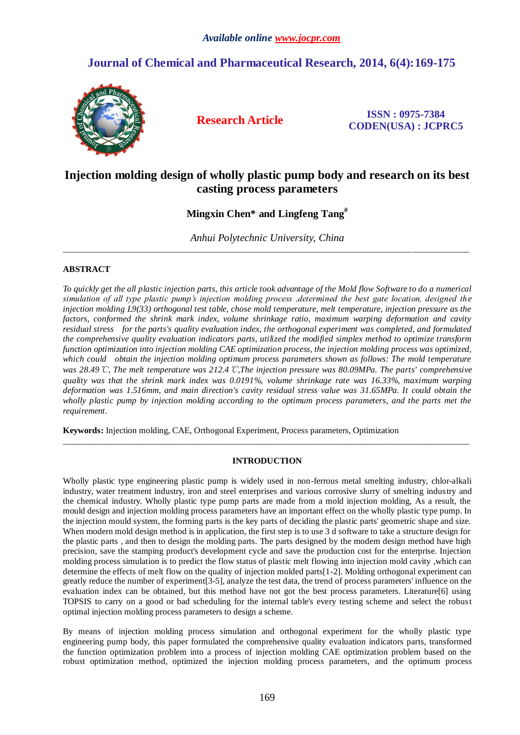# **Journal of Chemical and Pharmaceutical Research, 2014, 6(4):169-175**



**Research Article ISSN : 0975-7384 CODEN(USA) : JCPRC5**

## **Injection molding design of wholly plastic pump body and research on its best casting process parameters**

**Mingxin Chen\* and Lingfeng Tang#**

*Anhui Polytechnic University, China* \_\_\_\_\_\_\_\_\_\_\_\_\_\_\_\_\_\_\_\_\_\_\_\_\_\_\_\_\_\_\_\_\_\_\_\_\_\_\_\_\_\_\_\_\_\_\_\_\_\_\_\_\_\_\_\_\_\_\_\_\_\_\_\_\_\_\_\_\_\_\_\_\_\_\_\_\_\_\_\_\_\_\_\_\_\_\_\_\_\_\_\_\_

## **ABSTRACT**

*To quickly get the all plastic injection parts, this article took advantage of the Mold flow Software to do a numerical simulation of all type plastic pump's injection molding process ,determined the best gate location, designed the injection molding L9(33) orthogonal test table, chose mold temperature, melt temperature, injection pressure as the factors, conformed the shrink mark index, volume shrinkage ratio, maximum warping deformation and cavity residual stress for the parts's quality evaluation index, the orthogonal experiment was completed, and formulated the comprehensive quality evaluation indicators parts, utilized the modified simplex method to optimize transform function optimization into injection molding CAE optimization process, the injection molding process was optimized, which could obtain the injection molding optimum process parameters shown as follows: The mold temperature was 28.49*℃*, The melt temperature was 212.4*℃*,The injection pressure was 80.09MPa. The parts' comprehensive quality was that the shrink mark index was 0.0191%, volume shrinkage rate was 16.33%, maximum warping deformation was 1.516mm, and main direction's cavity residual stress value was 31.65MPa. It could obtain the wholly plastic pump by injection molding according to the optimum process parameters, and the parts met the requirement.*

**Keywords:** Injection molding, CAE, Orthogonal Experiment, Process parameters, Optimization

## **INTRODUCTION**

\_\_\_\_\_\_\_\_\_\_\_\_\_\_\_\_\_\_\_\_\_\_\_\_\_\_\_\_\_\_\_\_\_\_\_\_\_\_\_\_\_\_\_\_\_\_\_\_\_\_\_\_\_\_\_\_\_\_\_\_\_\_\_\_\_\_\_\_\_\_\_\_\_\_\_\_\_\_\_\_\_\_\_\_\_\_\_\_\_\_\_\_\_

Wholly plastic type engineering plastic pump is widely used in non-ferrous metal smelting industry, chlor-alkali industry, water treatment industry, iron and steel enterprises and various corrosive slurry of smelting industry and the chemical industry. Wholly plastic type pump parts are made from a mold injection molding, As a result, the mould design and injection molding process parameters have an important effect on the wholly plastic type pump. In the injection mould system, the forming parts is the key parts of deciding the plastic parts' geometric shape and size. When modern mold design method is in application, the first step is to use 3 d software to take a structure design for the plastic parts , and then to design the molding parts. The parts designed by the modern design method have high precision, save the stamping product's development cycle and save the production cost for the enterprise. Injection molding process simulation is to predict the flow status of plastic melt flowing into injection mold cavity ,which can determine the effects of melt flow on the quality of injection molded parts[1-2]. Molding orthogonal experiment can greatly reduce the number of experiment[3-5], analyze the test data, the trend of process parameters' influence on the evaluation index can be obtained, but this method have not got the best process parameters. Literature[6] using TOPSIS to carry on a good or bad scheduling for the internal table's every testing scheme and select the robust optimal injection molding process parameters to design a scheme.

By means of injection molding process simulation and orthogonal experiment for the wholly plastic type engineering pump body, this paper formulated the comprehensive quality evaluation indicators parts, transformed the function optimization problem into a process of injection molding CAE optimization problem based on the robust optimization method, optimized the injection molding process parameters, and the optimum process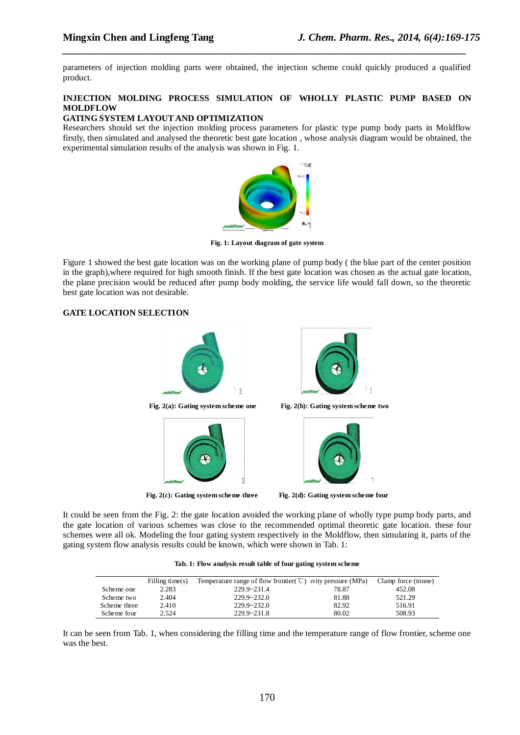parameters of injection molding parts were obtained, the injection scheme could quickly produced a qualified product.

*\_\_\_\_\_\_\_\_\_\_\_\_\_\_\_\_\_\_\_\_\_\_\_\_\_\_\_\_\_\_\_\_\_\_\_\_\_\_\_\_\_\_\_\_\_\_\_\_\_\_\_\_\_\_\_\_\_\_\_\_\_\_\_\_\_\_\_\_\_\_\_\_\_\_\_\_\_*

## **INJECTION MOLDING PROCESS SIMULATION OF WHOLLY PLASTIC PUMP BASED ON MOLDFLOW**

## **GATING SYSTEM LAYOUT AND OPTIMIZATION**

Researchers should set the injection molding process parameters for plastic type pump body parts in Moldflow firstly, then simulated and analysed the theoretic best gate location , whose analysis diagram would be obtained, the experimental simulation results of the analysis was shown in Fig. 1.



**Fig. 1: Layout diagram of gate system**

Figure 1 showed the best gate location was on the working plane of pump body ( the blue part of the center position in the graph),where required for high smooth finish. If the best gate location was chosen as the actual gate location, the plane precision would be reduced after pump body molding, the service life would fall down, so the theoretic best gate location was not desirable.

#### **GATE LOCATION SELECTION**



**Fig. 2(c): Gating system scheme three Fig. 2(d): Gating system scheme four**

It could be seen from the Fig. 2: the gate location avoided the working plane of wholly type pump body parts, and the gate location of various schemes was close to the recommended optimal theoretic gate location. these four schemes were all ok. Modeling the four gating system respectively in the Moldflow, then simulating it, parts of the gating system flow analysis results could be known, which were shown in Tab. 1:

|  |  | Tab. 1: Flow analysis result table of four gating system scheme |
|--|--|-----------------------------------------------------------------|
|--|--|-----------------------------------------------------------------|

|              | Filling time $(s)$ | Temperature range of flow frontier $\mathcal{C}$ vity pressure (MPa) |       | Clamp force (tonne) |
|--------------|--------------------|----------------------------------------------------------------------|-------|---------------------|
| Scheme one   | 2.283              | $229.9 - 231.4$                                                      | 78.87 | 452.08              |
| Scheme two   | 2.404              | $229.9 - 232.0$                                                      | 81.88 | 521.29              |
| Scheme three | 2.410              | $229.9 - 232.0$                                                      | 82.92 | 516.91              |
| Scheme four  | 2.524              | $229.9 - 231.8$                                                      | 80.02 | 508.93              |

It can be seen from Tab. 1, when considering the filling time and the temperature range of flow frontier, scheme one was the best.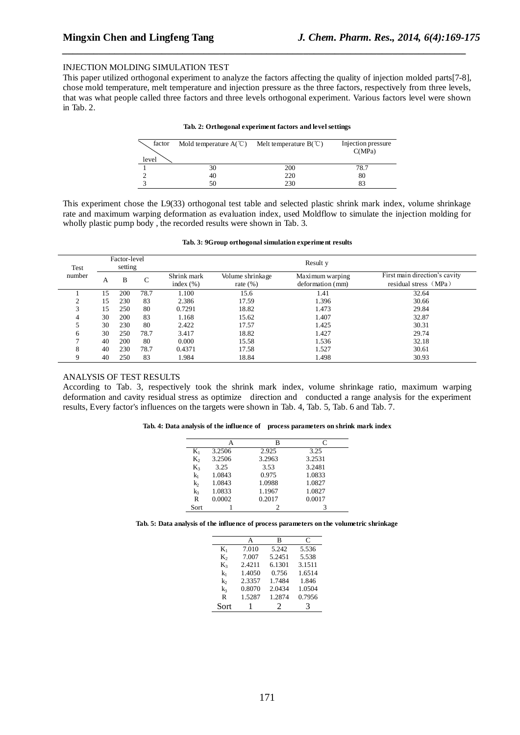#### INJECTION MOLDING SIMULATION TEST

This paper utilized orthogonal experiment to analyze the factors affecting the quality of injection molded parts[7-8], chose mold temperature, melt temperature and injection pressure as the three factors, respectively from three levels, that was what people called three factors and three levels orthogonal experiment. Various factors level were shown in Tab. 2.

*\_\_\_\_\_\_\_\_\_\_\_\_\_\_\_\_\_\_\_\_\_\_\_\_\_\_\_\_\_\_\_\_\_\_\_\_\_\_\_\_\_\_\_\_\_\_\_\_\_\_\_\_\_\_\_\_\_\_\_\_\_\_\_\_\_\_\_\_\_\_\_\_\_\_\_\_\_*

| factor<br>level | Mold temperature $A(\mathcal{C})$ | Melt temperature $B(\mathcal{C})$ | Injection pressure<br>C(MPa) |
|-----------------|-----------------------------------|-----------------------------------|------------------------------|
|                 | 30                                | 200                               | 78.7                         |
|                 | 40                                | 220                               | 80                           |
|                 |                                   | 230                               | 83                           |

This experiment chose the L9(33) orthogonal test table and selected plastic shrink mark index, volume shrinkage rate and maximum warping deformation as evaluation index, used Moldflow to simulate the injection molding for wholly plastic pump body , the recorded results were shown in Tab. 3.

|  |  |  |  |  | Tab. 3: 9Group orthogonal simulation experiment results |  |
|--|--|--|--|--|---------------------------------------------------------|--|
|--|--|--|--|--|---------------------------------------------------------|--|

| Test   | Factor-level<br>setting |     |      |                              |                                  |                                     |                                                        |
|--------|-------------------------|-----|------|------------------------------|----------------------------------|-------------------------------------|--------------------------------------------------------|
| number | А                       | B   | ⌒    | Shrink mark<br>index $(\% )$ | Volume shrinkage<br>rate $(\% )$ | Maximum warping<br>deformation (mm) | First main direction's cavity<br>residual stress (MPa) |
|        | 15                      | 200 | 78.7 | 1.100                        | 15.6                             | 1.41                                | 32.64                                                  |
| ◠      | 15                      | 230 | 83   | 2.386                        | 17.59                            | 1.396                               | 30.66                                                  |
| 3      | 15                      | 250 | 80   | 0.7291                       | 18.82                            | 1.473                               | 29.84                                                  |
|        | 30                      | 200 | 83   | 1.168                        | 15.62                            | 1.407                               | 32.87                                                  |
|        | 30                      | 230 | 80   | 2.422                        | 17.57                            | 1.425                               | 30.31                                                  |
| 6      | 30                      | 250 | 78.7 | 3.417                        | 18.82                            | 1.427                               | 29.74                                                  |
|        | 40                      | 200 | 80   | 0.000                        | 15.58                            | 1.536                               | 32.18                                                  |
| 8      | 40                      | 230 | 78.7 | 0.4371                       | 17.58                            | 1.527                               | 30.61                                                  |
|        | 40                      | 250 | 83   | 1.984                        | 18.84                            | 1.498                               | 30.93                                                  |

#### ANALYSIS OF TEST RESULTS

According to Tab. 3, respectively took the shrink mark index, volume shrinkage ratio, maximum warping deformation and cavity residual stress as optimize direction and conducted a range analysis for the experiment results, Every factor's influences on the targets were shown in Tab. 4, Tab. 5, Tab. 6 and Tab. 7.

|  |  | Tab. 4: Data analysis of the influence of process parameters on shrink mark index |  |  |  |
|--|--|-----------------------------------------------------------------------------------|--|--|--|
|  |  |                                                                                   |  |  |  |

|       |        | в      | C      |
|-------|--------|--------|--------|
| $K_1$ | 3.2506 | 2.925  | 3.25   |
| K,    | 3.2506 | 3.2963 | 3.2531 |
| $K_3$ | 3.25   | 3.53   | 3.2481 |
| $k_1$ | 1.0843 | 0.975  | 1.0833 |
| k,    | 1.0843 | 1.0988 | 1.0827 |
| $k_3$ | 1.0833 | 1.1967 | 1.0827 |
| R     | 0.0002 | 0.2017 | 0.0017 |
| Sort  |        |        |        |

**Tab. 5: Data analysis of the influence of process parameters on the volumetric shrinkage**

|       | А      | R      | C      |
|-------|--------|--------|--------|
| $K_1$ | 7.010  | 5.242  | 5.536  |
| K,    | 7.007  | 5.2451 | 5.538  |
| $K_3$ | 2.4211 | 6.1301 | 3.1511 |
| kı    | 1.4050 | 0.756  | 1.6514 |
| k     | 2.3357 | 1.7484 | 1.846  |
| k3    | 0.8070 | 2.0434 | 1.0504 |
| R     | 1.5287 | 1.2874 | 0.7956 |
| Sort  |        | 2      | 3      |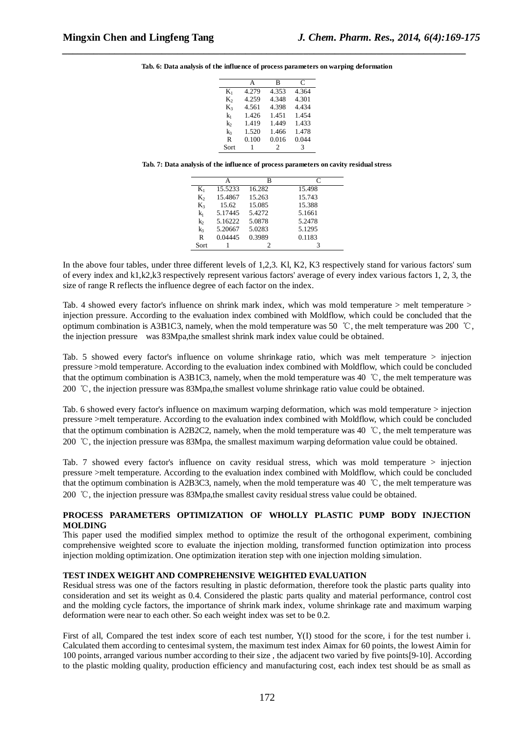**Tab. 6: Data analysis of the influence of process parameters on warping deformation**

*\_\_\_\_\_\_\_\_\_\_\_\_\_\_\_\_\_\_\_\_\_\_\_\_\_\_\_\_\_\_\_\_\_\_\_\_\_\_\_\_\_\_\_\_\_\_\_\_\_\_\_\_\_\_\_\_\_\_\_\_\_\_\_\_\_\_\_\_\_\_\_\_\_\_\_\_\_*

|       | А     | в     | C     |
|-------|-------|-------|-------|
| $K_1$ | 4.279 | 4.353 | 4.364 |
| K,    | 4.259 | 4.348 | 4.301 |
| $K_3$ | 4.561 | 4.398 | 4.434 |
| kı    | 1.426 | 1.451 | 1.454 |
| k,    | 1.419 | 1.449 | 1.433 |
| k3    | 1.520 | 1.466 | 1.478 |
| R     | 0.100 | 0.016 | 0.044 |
| Sort  |       | 2     | 3     |

**Tab. 7: Data analysis of the influence of process parameters on cavity residual stress**

|                |         | B      |        |
|----------------|---------|--------|--------|
| $K_1$          | 15.5233 | 16.282 | 15.498 |
| K,             | 15.4867 | 15.263 | 15.743 |
| $K_3$          | 15.62   | 15.085 | 15.388 |
| $k_1$          | 5.17445 | 5.4272 | 5.1661 |
| k              | 5.16222 | 5.0878 | 5.2478 |
| k <sub>3</sub> | 5.20667 | 5.0283 | 5.1295 |
| R              | 0.04445 | 0.3989 | 0.1183 |
| Sort           |         |        |        |

In the above four tables, under three different levels of 1,2,3, Kl, K2, K3 respectively stand for various factors' sum of every index and k1,k2,k3 respectively represent various factors' average of every index various factors 1, 2, 3, the size of range R reflects the influence degree of each factor on the index.

Tab. 4 showed every factor's influence on shrink mark index, which was mold temperature > melt temperature > injection pressure. According to the evaluation index combined with Moldflow, which could be concluded that the optimum combination is A3B1C3, namely, when the mold temperature was 50 °C, the melt temperature was 200 °C, the injection pressure was 83Mpa,the smallest shrink mark index value could be obtained.

Tab. 5 showed every factor's influence on volume shrinkage ratio, which was melt temperature > injection pressure >mold temperature. According to the evaluation index combined with Moldflow, which could be concluded that the optimum combination is A3B1C3, namely, when the mold temperature was 40 ℃, the melt temperature was 200 ℃, the injection pressure was 83Mpa,the smallest volume shrinkage ratio value could be obtained.

Tab. 6 showed every factor's influence on maximum warping deformation, which was mold temperature > injection pressure >melt temperature. According to the evaluation index combined with Moldflow, which could be concluded that the optimum combination is A2B2C2, namely, when the mold temperature was 40 ℃, the melt temperature was 200 ℃, the injection pressure was 83Mpa, the smallest maximum warping deformation value could be obtained.

Tab. 7 showed every factor's influence on cavity residual stress, which was mold temperature > injection pressure >melt temperature. According to the evaluation index combined with Moldflow, which could be concluded that the optimum combination is A2B3C3, namely, when the mold temperature was 40 ℃, the melt temperature was 200 ℃, the injection pressure was 83Mpa,the smallest cavity residual stress value could be obtained.

#### **PROCESS PARAMETERS OPTIMIZATION OF WHOLLY PLASTIC PUMP BODY INJECTION MOLDING**

This paper used the modified simplex method to optimize the result of the orthogonal experiment, combining comprehensive weighted score to evaluate the injection molding, transformed function optimization into process injection molding optimization. One optimization iteration step with one injection molding simulation.

#### **TEST INDEX WEIGHT AND COMPREHENSIVE WEIGHTED EVALUATION**

Residual stress was one of the factors resulting in plastic deformation, therefore took the plastic parts quality into consideration and set its weight as 0.4. Considered the plastic parts quality and material performance, control cost and the molding cycle factors, the importance of shrink mark index, volume shrinkage rate and maximum warping deformation were near to each other. So each weight index was set to be 0.2.

First of all, Compared the test index score of each test number, Y(I) stood for the score, i for the test number i. Calculated them according to centesimal system, the maximum test index Aimax for 60 points, the lowest Aimin for 100 points, arranged various number according to their size , the adjacent two varied by five points[9-10]. According to the plastic molding quality, production efficiency and manufacturing cost, each index test should be as small as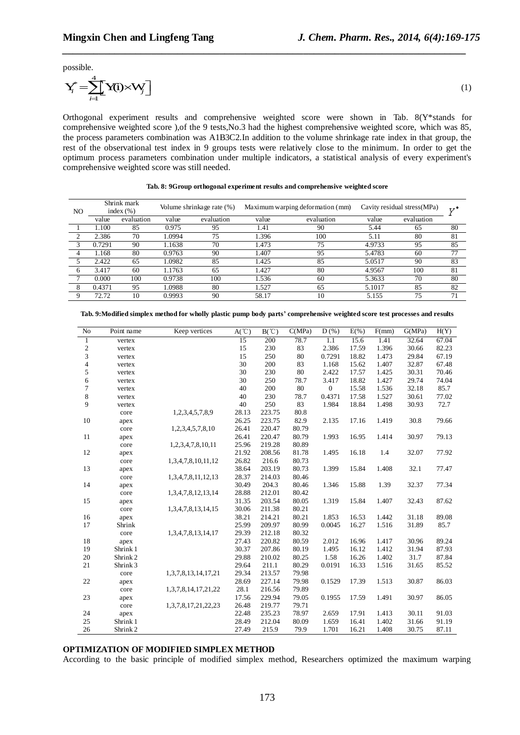possible.

$$
\mathbf{Y}_{i}^{*} = \sum_{i=1}^{4} \mathbf{Y}(i) \times \mathbf{W}_{j} \tag{1}
$$

**Mingxin Chen and Lingfeng Tang**<br>
possible.<br>  $Y_i^* = \sum_{i=1}^4 Y(i) \times V_j$  <br>
Drthogonal experiment results and comprehensive we<br>
comprehensive weighted score ), of the 9 tests, No.3 had the **igxin Chen and Lingfeng Tang** *<i>J. Chem. Pha*<br>
ible.<br>  $=\sum_{i=1}^{4} \textbf{Y}(i) \times \textbf{W}_i$   $\begin{bmatrix} 1 \\ 2 \end{bmatrix}$ <br>
ogonal experiment results and comprehensive weighted score were sherehensive weighted score), of the 9 tests, No Orthogonal experiment results and comprehensive weighted score were shown in Tab. 8(Y\*stands for comprehensive weighted score ),of the 9 tests,No.3 had the highest comprehensive weighted score, which was 85, the process parameters combination was A1B3C2.In addition to the volume shrinkage rate index in that group, the rest of the observational test index in 9 groups tests were relatively close to the minimum. In order to get the optimum process parameters combination under multiple indicators, a statistical analysis of every experiment's comprehensive weighted score was still needed.

*\_\_\_\_\_\_\_\_\_\_\_\_\_\_\_\_\_\_\_\_\_\_\_\_\_\_\_\_\_\_\_\_\_\_\_\_\_\_\_\_\_\_\_\_\_\_\_\_\_\_\_\_\_\_\_\_\_\_\_\_\_\_\_\_\_\_\_\_\_\_\_\_\_\_\_\_\_*

| N <sub>O</sub> | Shrink mark<br>index $(\% )$ |            | Volume shrinkage rate (%) |            | Maximum warping deformation (mm) |            | Cavity residual stress (MPa) |            | 77 |
|----------------|------------------------------|------------|---------------------------|------------|----------------------------------|------------|------------------------------|------------|----|
|                | value                        | evaluation | value                     | evaluation | value                            | evaluation | value                        | evaluation |    |
|                | 1.100                        | 85         | 0.975                     | 95         | 1.41                             | 90         | 5.44                         | 65         | 80 |
|                | 2.386                        | 70         | .0994                     | 75         | 1.396                            | 100        | 5.11                         | 80         | 81 |
|                | 0.7291                       | 90         | 1.1638                    | 70         | 1.473                            | 75         | 4.9733                       | 95         | 85 |
|                | 1.168                        | 80         | 0.9763                    | 90         | 1.407                            | 95         | 5.4783                       | 60         | 77 |
|                | 2.422                        | 65         | 1.0982                    | 85         | 1.425                            | 85         | 5.0517                       | 90         | 83 |
|                | 3.417                        | 60         | 1.1763                    | 65         | 1.427                            | 80         | 4.9567                       | 100        | 81 |
|                | 0.000                        | 100        | 0.9738                    | 100        | 1.536                            | 60         | 5.3633                       | 70         | 80 |
|                | 0.4371                       | 95         | .0988                     | 80         | 1.527                            | 65         | 5.1017                       | 85         | 82 |
|                | 72.72                        | 10         | 0.9993                    | 90         | 58.17                            | 10         | 5.155                        | 75         | 71 |

|  |  |  | Tab. 8: 9Group orthogonal experiment results and comprehensive weighted score |
|--|--|--|-------------------------------------------------------------------------------|
|  |  |  |                                                                               |

| No                       | Point name          | Keep vertices              | $A(^{\circ}C)$ | $B(^{\circ}C)$ | C(MPa) | $D(\%)$        | $E(\% )$ | F(mm) | G(MPa) | H(Y)  |
|--------------------------|---------------------|----------------------------|----------------|----------------|--------|----------------|----------|-------|--------|-------|
| $\mathbf{1}$             | vertex              |                            | 15             | 200            | 78.7   | 1.1            | 15.6     | 1.41  | 32.64  | 67.04 |
| $\boldsymbol{2}$         | vertex              |                            | 15             | 230            | 83     | 2.386          | 17.59    | 1.396 | 30.66  | 82.23 |
| 3                        | vertex              |                            | 15             | 250            | 80     | 0.7291         | 18.82    | 1.473 | 29.84  | 67.19 |
| $\overline{\mathcal{L}}$ | vertex              |                            | 30             | 200            | 83     | 1.168          | 15.62    | 1.407 | 32.87  | 67.48 |
| 5                        | vertex              |                            | 30             | 230            | 80     | 2.422          | 17.57    | 1.425 | 30.31  | 70.46 |
| 6                        | vertex              |                            | 30             | 250            | 78.7   | 3.417          | 18.82    | 1.427 | 29.74  | 74.04 |
| 7                        | vertex              |                            | 40             | 200            | 80     | $\overline{0}$ | 15.58    | 1.536 | 32.18  | 85.7  |
| 8                        | vertex              |                            | 40             | 230            | 78.7   | 0.4371         | 17.58    | 1.527 | 30.61  | 77.02 |
| 9                        | vertex              |                            | 40             | 250            | 83     | 1.984          | 18.84    | 1.498 | 30.93  | 72.7  |
|                          | core                | 1,2,3,4,5,7,8,9            | 28.13          | 223.75         | 80.8   |                |          |       |        |       |
| 10                       | apex                |                            | 26.25          | 223.75         | 82.9   | 2.135          | 17.16    | 1.419 | 30.8   | 79.66 |
|                          | core                | 1,2,3,4,5,7,8,10           | 26.41          | 220.47         | 80.79  |                |          |       |        |       |
| 11                       | apex                |                            | 26.41          | 220.47         | 80.79  | 1.993          | 16.95    | 1.414 | 30.97  | 79.13 |
|                          | core                | 1,2,3,4,7,8,10,11          | 25.96          | 219.28         | 80.89  |                |          |       |        |       |
| 12                       | apex                |                            | 21.92          | 208.56         | 81.78  | 1.495          | 16.18    | 1.4   | 32.07  | 77.92 |
|                          | core                | 1,3,4,7,8,10,11,12         | 26.82          | 216.6          | 80.73  |                |          |       |        |       |
| 13                       | apex                |                            | 38.64          | 203.19         | 80.73  | 1.399          | 15.84    | 1.408 | 32.1   | 77.47 |
|                          | core                | 1,3,4,7,8,11,12,13         | 28.37          | 214.03         | 80.46  |                |          |       |        |       |
| 14                       | apex                |                            | 30.49          | 204.3          | 80.46  | 1.346          | 15.88    | 1.39  | 32.37  | 77.34 |
|                          | core                | 1,3,4,7,8,12,13,14         | 28.88          | 212.01         | 80.42  |                |          |       |        |       |
| 15                       | apex                |                            | 31.35          | 203.54         | 80.05  | 1.319          | 15.84    | 1.407 | 32.43  | 87.62 |
|                          | core                | 1,3,4,7,8,13,14,15         | 30.06          | 211.38         | 80.21  |                |          |       |        |       |
| 16                       | apex                |                            | 38.21          | 214.21         | 80.21  | 1.853          | 16.53    | 1.442 | 31.18  | 89.08 |
| 17                       | Shrink              |                            | 25.99          | 209.97         | 80.99  | 0.0045         | 16.27    | 1.516 | 31.89  | 85.7  |
|                          | core                | 1,3,4,7,8,13,14,17         | 29.39          | 212.18         | 80.32  |                |          |       |        |       |
| 18                       | apex                |                            | 27.43          | 220.82         | 80.59  | 2.012          | 16.96    | 1.417 | 30.96  | 89.24 |
| 19                       | Shrink 1            |                            | 30.37          | 207.86         | 80.19  | 1.495          | 16.12    | 1.412 | 31.94  | 87.93 |
| 20                       | Shrink <sub>2</sub> |                            | 29.88          | 210.02         | 80.25  | 1.58           | 16.26    | 1.402 | 31.7   | 87.84 |
| 21                       | Shrink 3            |                            | 29.64          | 211.1          | 80.29  | 0.0191         | 16.33    | 1.516 | 31.65  | 85.52 |
|                          | core                | 1, 3, 7, 8, 13, 14, 17, 21 | 29.34          | 213.57         | 79.98  |                |          |       |        |       |
| 22                       | apex                |                            | 28.69          | 227.14         | 79.98  | 0.1529         | 17.39    | 1.513 | 30.87  | 86.03 |
|                          | core                | 1, 3, 7, 8, 14, 17, 21, 22 | 28.1           | 216.56         | 79.89  |                |          |       |        |       |
| 23                       | apex                |                            | 17.56          | 229.94         | 79.05  | 0.1955         | 17.59    | 1.491 | 30.97  | 86.05 |
|                          | core                | 1, 3, 7, 8, 17, 21, 22, 23 | 26.48          | 219.77         | 79.71  |                |          |       |        |       |
| 24                       | apex                |                            | 22.48          | 235.23         | 78.97  | 2.659          | 17.91    | 1.413 | 30.11  | 91.03 |
| 25                       | Shrink 1            |                            | 28.49          | 212.04         | 80.09  | 1.659          | 16.41    | 1.402 | 31.66  | 91.19 |
| 26                       | Shrink <sub>2</sub> |                            | 27.49          | 215.9          | 79.9   | 1.701          | 16.21    | 1.408 | 30.75  | 87.11 |

**Tab. 9:Modified simplex method for wholly plastic pump body parts' comprehensive weighted score test processes and results**

#### **OPTIMIZATION OF MODIFIED SIMPLEX METHOD**

According to the basic principle of modified simplex method, Researchers optimized the maximum warping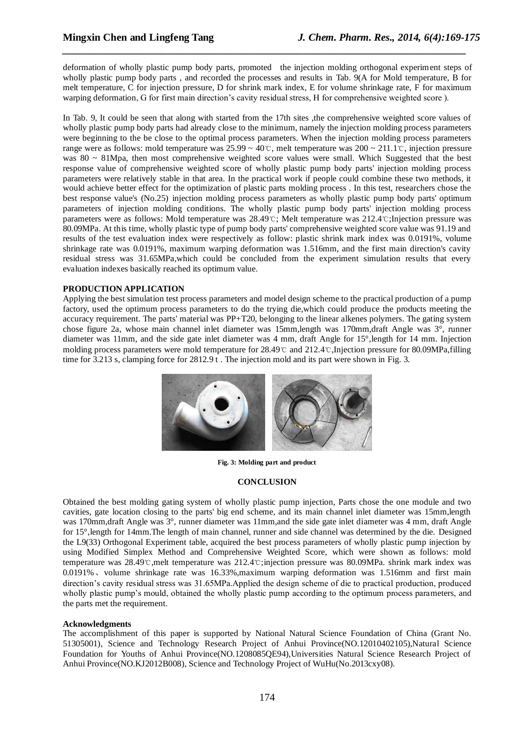deformation of wholly plastic pump body parts, promoted the injection molding orthogonal experiment steps of wholly plastic pump body parts , and recorded the processes and results in Tab. 9(A for Mold temperature, B for melt temperature, C for injection pressure, D for shrink mark index, E for volume shrinkage rate, F for maximum warping deformation, G for first main direction's cavity residual stress, H for comprehensive weighted score ).

*\_\_\_\_\_\_\_\_\_\_\_\_\_\_\_\_\_\_\_\_\_\_\_\_\_\_\_\_\_\_\_\_\_\_\_\_\_\_\_\_\_\_\_\_\_\_\_\_\_\_\_\_\_\_\_\_\_\_\_\_\_\_\_\_\_\_\_\_\_\_\_\_\_\_\_\_\_*

In Tab. 9, It could be seen that along with started from the 17th sites , the comprehensive weighted score values of wholly plastic pump body parts had already close to the minimum, namely the injection molding process parameters were beginning to the be close to the optimal process parameters. When the injection molding process parameters range were as follows: mold temperature was 25.99 ~ 40℃, melt temperature was 200 ~ 211.1℃, injection pressure was 80 ~ 81Mpa, then most comprehensive weighted score values were small. Which Suggested that the best response value of comprehensive weighted score of wholly plastic pump body parts' injection molding process parameters were relatively stable in that area. In the practical work if people could combine these two methods, it would achieve better effect for the optimization of plastic parts molding process . In this test, researchers chose the best response value's (No.25) injection molding process parameters as wholly plastic pump body parts' optimum parameters of injection molding conditions. The wholly plastic pump body parts' injection molding process parameters were as follows: Mold temperature was 28.49℃; Melt temperature was 212.4℃;Injection pressure was 80.09MPa. At this time, wholly plastic type of pump body parts' comprehensive weighted score value was 91.19 and results of the test evaluation index were respectively as follow: plastic shrink mark index was 0.0191%, volume shrinkage rate was 0.0191%, maximum warping deformation was 1.516mm, and the first main direction's cavity residual stress was 31.65MPa,which could be concluded from the experiment simulation results that every evaluation indexes basically reached its optimum value.

#### **PRODUCTION APPLICATION**

Applying the best simulation test process parameters and model design scheme to the practical production of a pump factory, used the optimum process parameters to do the trying die,which could produce the products meeting the accuracy requirement. The parts' material was PP+T20, belonging to the linear alkenes polymers. The gating system chose figure 2a, whose main channel inlet diameter was 15mm,length was 170mm,draft Angle was 3°, runner diameter was 11mm, and the side gate inlet diameter was 4 mm, draft Angle for 15°,length for 14 mm. Injection molding process parameters were mold temperature for 28.49℃ and 212.4℃,Injection pressure for 80.09MPa,filling time for 3.213 s, clamping force for 2812.9 t. The injection mold and its part were shown in Fig. 3.



**Fig. 3: Molding part and product**

#### **CONCLUSION**

Obtained the best molding gating system of wholly plastic pump injection, Parts chose the one module and two cavities, gate location closing to the parts' big end scheme, and its main channel inlet diameter was 15mm,length was 170mm,draft Angle was 3°, runner diameter was 11mm,and the side gate inlet diameter was 4 mm, draft Angle for 15°,length for 14mm.The length of main channel, runner and side channel was determined by the die. Designed the L9(33) Orthogonal Experiment table, acquired the best process parameters of wholly plastic pump injection by using Modified Simplex Method and Comprehensive Weighted Score, which were shown as follows: mold temperature was 28.49℃,melt temperature was 212.4℃;injection pressure was 80.09MPa. shrink mark index was 0.0191%、volume shrinkage rate was 16.33%,maximum warping deformation was 1.516mm and first main direction's cavity residual stress was 31.65MPa.Applied the design scheme of die to practical production, produced wholly plastic pump's mould, obtained the wholly plastic pump according to the optimum process parameters, and the parts met the requirement.

#### **Acknowledgments**

The accomplishment of this paper is supported by National Natural Science Foundation of China (Grant No. 51305001), Science and Technology Research Project of Anhui Province(NO.12010402105),Natural Science Foundation for Youths of Anhui Province(NO.1208085QE94),Universities Natural Science Research Project of Anhui Province(NO.KJ2012B008), Science and Technology Project of WuHu(No.2013cxy08).